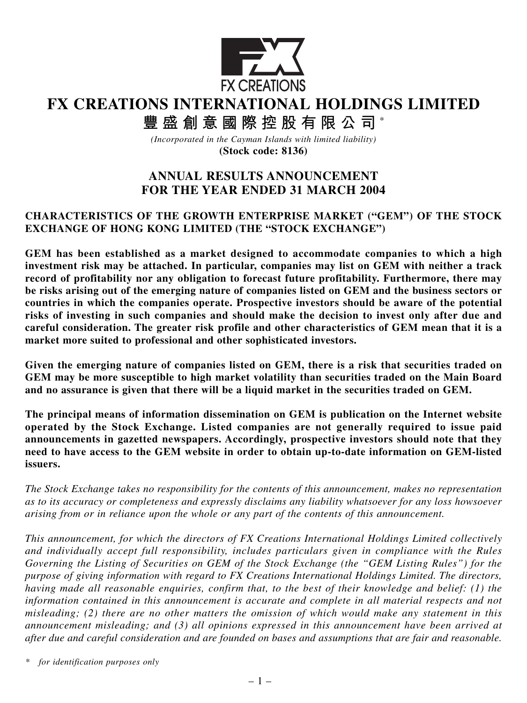

# **FX CREATIONS INTERNATIONAL HOLDINGS LIMITED**

**豐盛創意國際控股有限公司** \*

*(Incorporated in the Cayman Islands with limited liability)* **(Stock code: 8136)**

## **ANNUAL RESULTS ANNOUNCEMENT FOR THE YEAR ENDED 31 MARCH 2004**

## **CHARACTERISTICS OF THE GROWTH ENTERPRISE MARKET ("GEM") OF THE STOCK EXCHANGE OF HONG KONG LIMITED (THE "STOCK EXCHANGE")**

**GEM has been established as a market designed to accommodate companies to which a high investment risk may be attached. In particular, companies may list on GEM with neither a track record of profitability nor any obligation to forecast future profitability. Furthermore, there may be risks arising out of the emerging nature of companies listed on GEM and the business sectors or countries in which the companies operate. Prospective investors should be aware of the potential risks of investing in such companies and should make the decision to invest only after due and careful consideration. The greater risk profile and other characteristics of GEM mean that it is a market more suited to professional and other sophisticated investors.**

**Given the emerging nature of companies listed on GEM, there is a risk that securities traded on GEM may be more susceptible to high market volatility than securities traded on the Main Board and no assurance is given that there will be a liquid market in the securities traded on GEM.**

**The principal means of information dissemination on GEM is publication on the Internet website operated by the Stock Exchange. Listed companies are not generally required to issue paid announcements in gazetted newspapers. Accordingly, prospective investors should note that they need to have access to the GEM website in order to obtain up-to-date information on GEM-listed issuers.**

*The Stock Exchange takes no responsibility for the contents of this announcement, makes no representation as to its accuracy or completeness and expressly disclaims any liability whatsoever for any loss howsoever arising from or in reliance upon the whole or any part of the contents of this announcement.*

*This announcement, for which the directors of FX Creations International Holdings Limited collectively and individually accept full responsibility, includes particulars given in compliance with the Rules Governing the Listing of Securities on GEM of the Stock Exchange (the "GEM Listing Rules") for the purpose of giving information with regard to FX Creations International Holdings Limited. The directors, having made all reasonable enquiries, confirm that, to the best of their knowledge and belief: (1) the information contained in this announcement is accurate and complete in all material respects and not misleading; (2) there are no other matters the omission of which would make any statement in this announcement misleading; and (3) all opinions expressed in this announcement have been arrived at after due and careful consideration and are founded on bases and assumptions that are fair and reasonable.*

*\* for identification purposes only*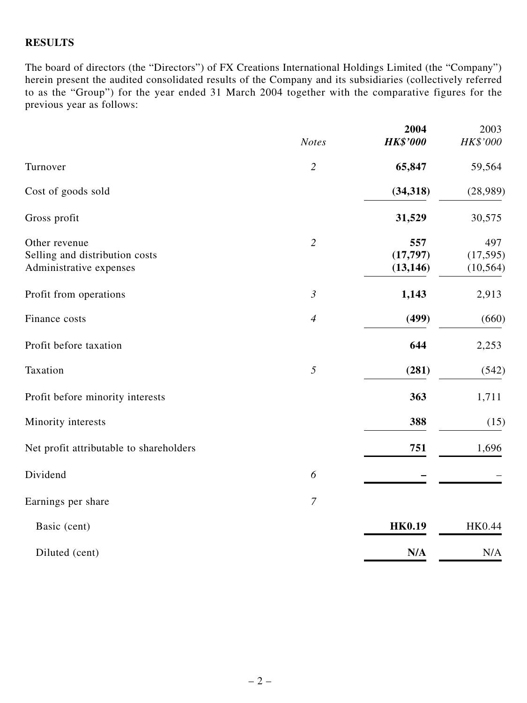#### **RESULTS**

The board of directors (the "Directors") of FX Creations International Holdings Limited (the "Company") herein present the audited consolidated results of the Company and its subsidiaries (collectively referred to as the "Group") for the year ended 31 March 2004 together with the comparative figures for the previous year as follows:

|                                                                            | <b>Notes</b>   | 2004<br><b>HK\$'000</b>       | 2003<br>HK\$'000              |
|----------------------------------------------------------------------------|----------------|-------------------------------|-------------------------------|
| Turnover                                                                   | $\overline{2}$ | 65,847                        | 59,564                        |
| Cost of goods sold                                                         |                | (34, 318)                     | (28,989)                      |
| Gross profit                                                               |                | 31,529                        | 30,575                        |
| Other revenue<br>Selling and distribution costs<br>Administrative expenses | $\overline{2}$ | 557<br>(17, 797)<br>(13, 146) | 497<br>(17, 595)<br>(10, 564) |
| Profit from operations                                                     | $\mathfrak{Z}$ | 1,143                         | 2,913                         |
| Finance costs                                                              | $\overline{4}$ | (499)                         | (660)                         |
| Profit before taxation                                                     |                | 644                           | 2,253                         |
| Taxation                                                                   | 5              | (281)                         | (542)                         |
| Profit before minority interests                                           |                | 363                           | 1,711                         |
| Minority interests                                                         |                | 388                           | (15)                          |
| Net profit attributable to shareholders                                    |                | 751                           | 1,696                         |
| Dividend                                                                   | 6              |                               |                               |
| Earnings per share                                                         | $\overline{7}$ |                               |                               |
| Basic (cent)                                                               |                | <b>HK0.19</b>                 | HK0.44                        |
| Diluted (cent)                                                             |                | N/A                           | N/A                           |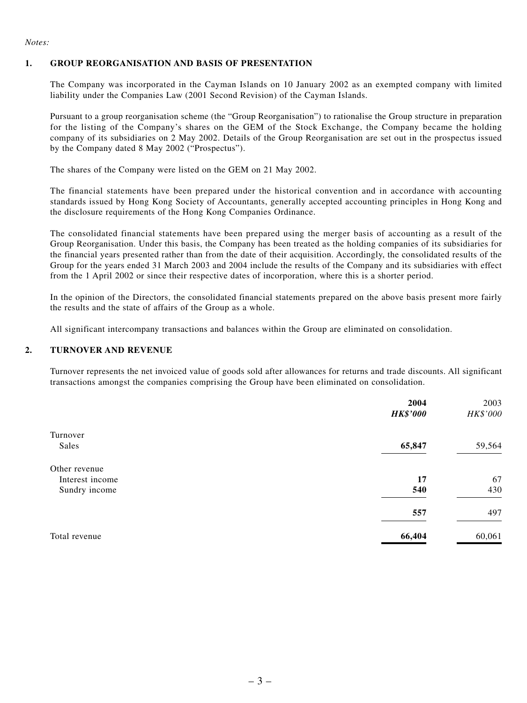#### *Notes:*

#### **1. GROUP REORGANISATION AND BASIS OF PRESENTATION**

The Company was incorporated in the Cayman Islands on 10 January 2002 as an exempted company with limited liability under the Companies Law (2001 Second Revision) of the Cayman Islands.

Pursuant to a group reorganisation scheme (the "Group Reorganisation") to rationalise the Group structure in preparation for the listing of the Company's shares on the GEM of the Stock Exchange, the Company became the holding company of its subsidiaries on 2 May 2002. Details of the Group Reorganisation are set out in the prospectus issued by the Company dated 8 May 2002 ("Prospectus").

The shares of the Company were listed on the GEM on 21 May 2002.

The financial statements have been prepared under the historical convention and in accordance with accounting standards issued by Hong Kong Society of Accountants, generally accepted accounting principles in Hong Kong and the disclosure requirements of the Hong Kong Companies Ordinance.

The consolidated financial statements have been prepared using the merger basis of accounting as a result of the Group Reorganisation. Under this basis, the Company has been treated as the holding companies of its subsidiaries for the financial years presented rather than from the date of their acquisition. Accordingly, the consolidated results of the Group for the years ended 31 March 2003 and 2004 include the results of the Company and its subsidiaries with effect from the 1 April 2002 or since their respective dates of incorporation, where this is a shorter period.

In the opinion of the Directors, the consolidated financial statements prepared on the above basis present more fairly the results and the state of affairs of the Group as a whole.

All significant intercompany transactions and balances within the Group are eliminated on consolidation.

#### **2. TURNOVER AND REVENUE**

Turnover represents the net invoiced value of goods sold after allowances for returns and trade discounts. All significant transactions amongst the companies comprising the Group have been eliminated on consolidation.

|                 | 2004            | 2003     |
|-----------------|-----------------|----------|
|                 | <b>HK\$'000</b> | HK\$'000 |
| Turnover        |                 |          |
| Sales           | 65,847          | 59,564   |
| Other revenue   |                 |          |
| Interest income | 17              | 67       |
| Sundry income   | 540             | 430      |
|                 | 557             | 497      |
| Total revenue   | 66,404          | 60,061   |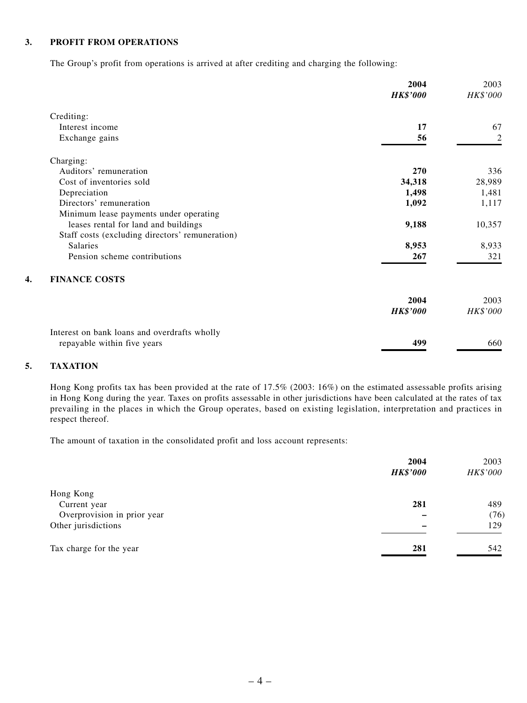#### **3. PROFIT FROM OPERATIONS**

The Group's profit from operations is arrived at after crediting and charging the following:

|                                                 | 2004<br><b>HK\$'000</b> | 2003<br>HK\$'000 |
|-------------------------------------------------|-------------------------|------------------|
| Crediting:                                      |                         |                  |
| Interest income                                 | 17                      | 67               |
| Exchange gains                                  | 56                      | $\overline{2}$   |
| Charging:                                       |                         |                  |
| Auditors' remuneration                          | 270                     | 336              |
| Cost of inventories sold                        | 34,318                  | 28,989           |
| Depreciation                                    | 1,498                   | 1,481            |
| Directors' remuneration                         | 1,092                   | 1,117            |
| Minimum lease payments under operating          |                         |                  |
| leases rental for land and buildings            | 9,188                   | 10,357           |
| Staff costs (excluding directors' remuneration) |                         |                  |
| Salaries                                        | 8,953                   | 8,933            |
| Pension scheme contributions                    | 267                     | 321              |
| <b>FINANCE COSTS</b>                            |                         |                  |
|                                                 | 2004                    | 2003             |
|                                                 | <b>HK\$'000</b>         | HK\$'000         |
| Interest on bank loans and overdrafts wholly    |                         |                  |
| repayable within five years                     | 499                     | 660              |

#### **5. TAXATION**

Hong Kong profits tax has been provided at the rate of 17.5% (2003: 16%) on the estimated assessable profits arising in Hong Kong during the year. Taxes on profits assessable in other jurisdictions have been calculated at the rates of tax prevailing in the places in which the Group operates, based on existing legislation, interpretation and practices in respect thereof.

The amount of taxation in the consolidated profit and loss account represents:

|                             | 2004<br><b>HK\$'000</b> | 2003<br>HK\$'000 |
|-----------------------------|-------------------------|------------------|
| Hong Kong                   |                         |                  |
| Current year                | 281                     | 489              |
| Overprovision in prior year |                         | (76)             |
| Other jurisdictions         |                         | 129              |
| Tax charge for the year     | 281                     | 542              |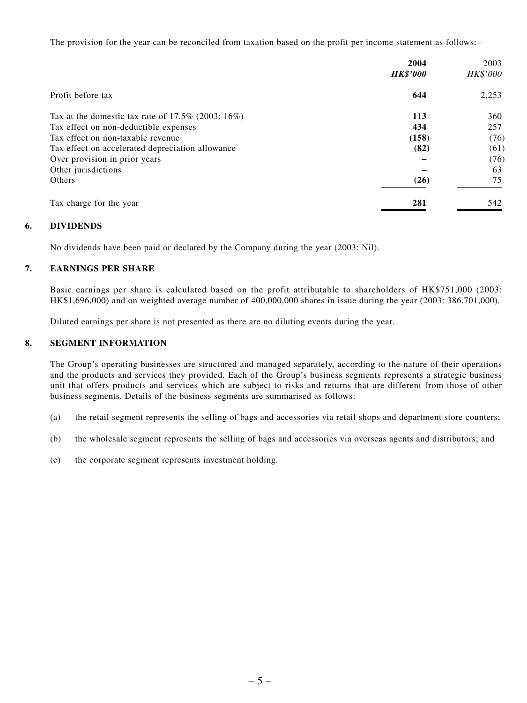The provision for the year can be reconciled from taxation based on the profit per income statement as follows:–

|                                                      | 2004            | 2003     |
|------------------------------------------------------|-----------------|----------|
|                                                      | <b>HK\$'000</b> | HK\$'000 |
| Profit before tax                                    | 644             | 2,253    |
| Tax at the domestic tax rate of $17.5\%$ (2003: 16%) | 113             | 360      |
| Tax effect on non-deductible expenses                | 434             | 257      |
| Tax effect on non-taxable revenue                    | (158)           | (76)     |
| Tax effect on accelerated depreciation allowance     | (82)            | (61)     |
| Over provision in prior years                        |                 | (76)     |
| Other jurisdictions                                  |                 | 63       |
| <b>Others</b>                                        | (26)            | 75       |
| Tax charge for the year                              | 281             | 542      |

#### **6. DIVIDENDS**

No dividends have been paid or declared by the Company during the year (2003: Nil).

#### **7. EARNINGS PER SHARE**

Basic earnings per share is calculated based on the profit attributable to shareholders of HK\$751,000 (2003: HK\$1,696,000) and on weighted average number of 400,000,000 shares in issue during the year (2003: 386,701,000).

Diluted earnings per share is not presented as there are no diluting events during the year.

#### **8. SEGMENT INFORMATION**

The Group's operating businesses are structured and managed separately, according to the nature of their operations and the products and services they provided. Each of the Group's business segments represents a strategic business unit that offers products and services which are subject to risks and returns that are different from those of other business segments. Details of the business segments are summarised as follows:

- (a) the retail segment represents the selling of bags and accessories via retail shops and department store counters;
- (b) the wholesale segment represents the selling of bags and accessories via overseas agents and distributors; and
- (c) the corporate segment represents investment holding.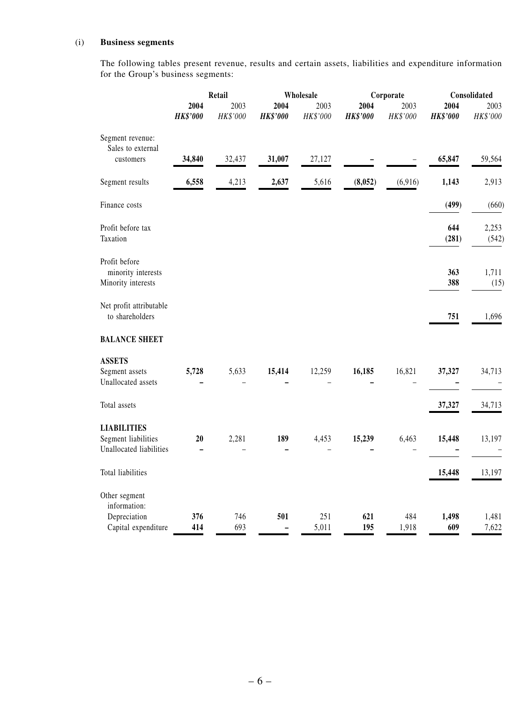#### (i) **Business segments**

The following tables present revenue, results and certain assets, liabilities and expenditure information for the Group's business segments:

|                                                                      |                         | Retail<br>Wholesale |                         |                  |                         | Corporate          | Consolidated            |                  |
|----------------------------------------------------------------------|-------------------------|---------------------|-------------------------|------------------|-------------------------|--------------------|-------------------------|------------------|
|                                                                      | 2004<br><b>HK\$'000</b> | 2003<br>HK\$'000    | 2004<br><b>HK\$'000</b> | 2003<br>HK\$'000 | 2004<br><b>HK\$'000</b> | 2003<br>$HK\$ '000 | 2004<br><b>HK\$'000</b> | 2003<br>HK\$'000 |
| Segment revenue:<br>Sales to external<br>customers                   | 34,840                  | 32,437              | 31,007                  | 27,127           |                         |                    | 65,847                  | 59,564           |
|                                                                      |                         |                     |                         |                  |                         |                    |                         |                  |
| Segment results                                                      | 6,558                   | 4,213               | 2,637                   | 5,616            | (8,052)                 | (6,916)            | 1,143                   | 2,913            |
| Finance costs                                                        |                         |                     |                         |                  |                         |                    | (499)                   | (660)            |
| Profit before tax<br>Taxation                                        |                         |                     |                         |                  |                         |                    | 644<br>(281)            | 2,253<br>(542)   |
| Profit before<br>minority interests<br>Minority interests            |                         |                     |                         |                  |                         |                    | 363<br>388              | 1,711<br>(15)    |
| Net profit attributable<br>to shareholders                           |                         |                     |                         |                  |                         |                    | 751                     | 1,696            |
| <b>BALANCE SHEET</b>                                                 |                         |                     |                         |                  |                         |                    |                         |                  |
| <b>ASSETS</b><br>Segment assets<br>Unallocated assets                | 5,728                   | 5,633               | 15,414                  | 12,259           | 16,185                  | 16,821             | 37,327                  | 34,713           |
| Total assets                                                         |                         |                     |                         |                  |                         |                    | 37,327                  | 34,713           |
| <b>LIABILITIES</b><br>Segment liabilities<br>Unallocated liabilities | 20                      | 2,281               | 189                     | 4,453            | 15,239                  | 6,463              | 15,448                  | 13,197           |
| Total liabilities                                                    |                         |                     |                         |                  |                         |                    | 15,448                  | 13,197           |
| Other segment<br>information:<br>Depreciation<br>Capital expenditure | 376<br>414              | 746<br>693          | 501                     | 251<br>5,011     | 621<br>195              | 484<br>1,918       | 1,498<br>609            | 1,481<br>7,622   |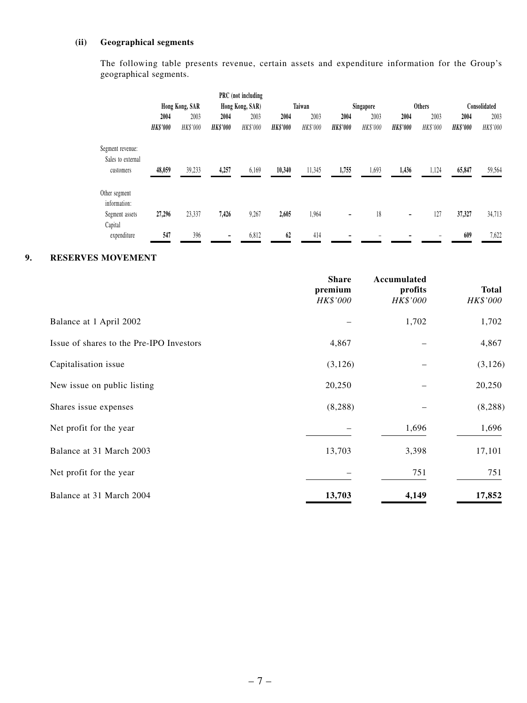#### **(ii) Geographical segments**

The following table presents revenue, certain assets and expenditure information for the Group's geographical segments.

|                                                    |                 |                |                 | PRC (not including |                 |          |                 |           |                          |               |                 |              |
|----------------------------------------------------|-----------------|----------------|-----------------|--------------------|-----------------|----------|-----------------|-----------|--------------------------|---------------|-----------------|--------------|
|                                                    |                 | Hong Kong, SAR |                 | Hong Kong, SAR)    |                 | Taiwan   |                 | Singapore |                          | <b>Others</b> |                 | Consolidated |
|                                                    | 2004            | 2003           | 2004            | 2003               | 2004            | 2003     | 2004            | 2003      | 2004                     | 2003          | 2004            | 2003         |
|                                                    | <b>HK\$'000</b> | HK\$'000       | <b>HK\$'000</b> | HK\$'000           | <b>HK\$'000</b> | HK\$'000 | <b>HK\$'000</b> | HK\$'000  | <b>HK\$'000</b>          | HK\$'000      | <b>HK\$'000</b> | HK\$'000     |
| Segment revenue:<br>Sales to external<br>customers | 48,059          | 39,233         | 4,257           | 6,169              | 10,340          | 11,345   | 1,755           | 1,693     | 1,436                    | 1,124         | 65,847          | 59,564       |
| Other segment<br>information:<br>Segment assets    | 27,296          | 23,337         | 7,426           | 9,267              | 2,605           | 1,964    | -               | 18        | $\overline{\phantom{a}}$ | 127           | 37,327          | 34,713       |
| Capital                                            |                 |                |                 |                    |                 |          |                 |           |                          |               |                 |              |
| expenditure                                        | 547             | 396            |                 | 6,812              | 62              | 414      |                 |           |                          |               | 609             | 7,622        |

#### **9. RESERVES MOVEMENT**

|                                          | <b>Share</b><br>premium<br>HK\$'000 | Accumulated<br>profits<br>HK\$'000 | <b>Total</b><br>HK\$'000 |
|------------------------------------------|-------------------------------------|------------------------------------|--------------------------|
| Balance at 1 April 2002                  |                                     | 1,702                              | 1,702                    |
| Issue of shares to the Pre-IPO Investors | 4,867                               |                                    | 4,867                    |
| Capitalisation issue                     | (3,126)                             |                                    | (3, 126)                 |
| New issue on public listing              | 20,250                              |                                    | 20,250                   |
| Shares issue expenses                    | (8, 288)                            |                                    | (8, 288)                 |
| Net profit for the year                  |                                     | 1,696                              | 1,696                    |
| Balance at 31 March 2003                 | 13,703                              | 3,398                              | 17,101                   |
| Net profit for the year                  |                                     | 751                                | 751                      |
| Balance at 31 March 2004                 | 13,703                              | 4,149                              | 17,852                   |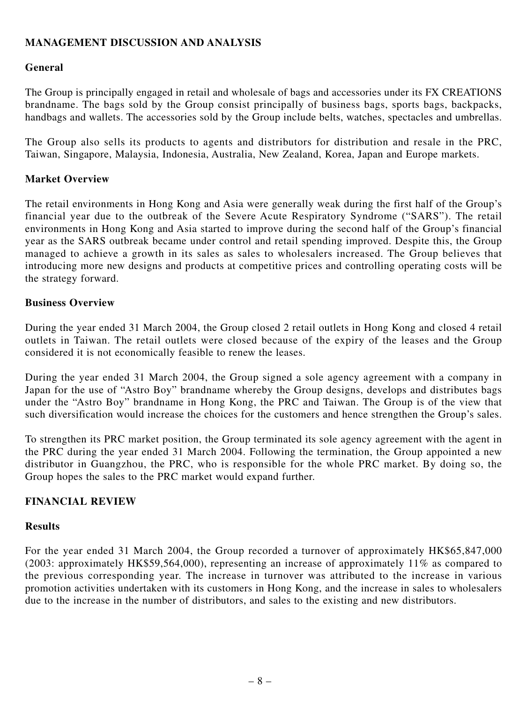## **MANAGEMENT DISCUSSION AND ANALYSIS**

## **General**

The Group is principally engaged in retail and wholesale of bags and accessories under its FX CREATIONS brandname. The bags sold by the Group consist principally of business bags, sports bags, backpacks, handbags and wallets. The accessories sold by the Group include belts, watches, spectacles and umbrellas.

The Group also sells its products to agents and distributors for distribution and resale in the PRC, Taiwan, Singapore, Malaysia, Indonesia, Australia, New Zealand, Korea, Japan and Europe markets.

## **Market Overview**

The retail environments in Hong Kong and Asia were generally weak during the first half of the Group's financial year due to the outbreak of the Severe Acute Respiratory Syndrome ("SARS"). The retail environments in Hong Kong and Asia started to improve during the second half of the Group's financial year as the SARS outbreak became under control and retail spending improved. Despite this, the Group managed to achieve a growth in its sales as sales to wholesalers increased. The Group believes that introducing more new designs and products at competitive prices and controlling operating costs will be the strategy forward.

#### **Business Overview**

During the year ended 31 March 2004, the Group closed 2 retail outlets in Hong Kong and closed 4 retail outlets in Taiwan. The retail outlets were closed because of the expiry of the leases and the Group considered it is not economically feasible to renew the leases.

During the year ended 31 March 2004, the Group signed a sole agency agreement with a company in Japan for the use of "Astro Boy" brandname whereby the Group designs, develops and distributes bags under the "Astro Boy" brandname in Hong Kong, the PRC and Taiwan. The Group is of the view that such diversification would increase the choices for the customers and hence strengthen the Group's sales.

To strengthen its PRC market position, the Group terminated its sole agency agreement with the agent in the PRC during the year ended 31 March 2004. Following the termination, the Group appointed a new distributor in Guangzhou, the PRC, who is responsible for the whole PRC market. By doing so, the Group hopes the sales to the PRC market would expand further.

#### **FINANCIAL REVIEW**

#### **Results**

For the year ended 31 March 2004, the Group recorded a turnover of approximately HK\$65,847,000 (2003: approximately HK\$59,564,000), representing an increase of approximately 11% as compared to the previous corresponding year. The increase in turnover was attributed to the increase in various promotion activities undertaken with its customers in Hong Kong, and the increase in sales to wholesalers due to the increase in the number of distributors, and sales to the existing and new distributors.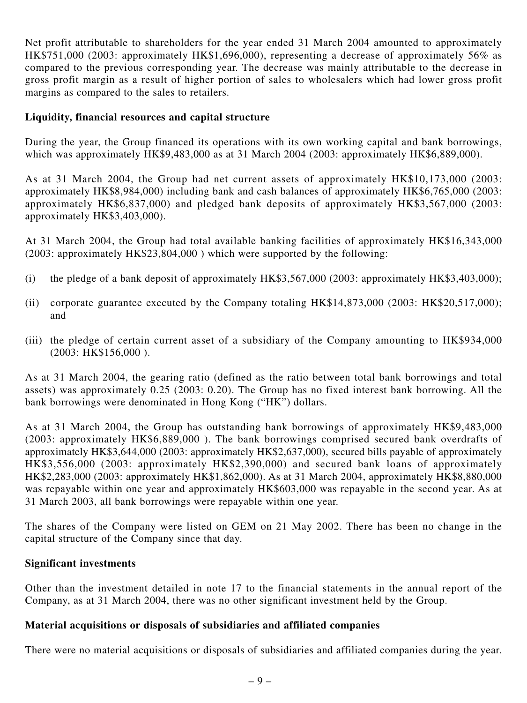Net profit attributable to shareholders for the year ended 31 March 2004 amounted to approximately HK\$751,000 (2003: approximately HK\$1,696,000), representing a decrease of approximately 56% as compared to the previous corresponding year. The decrease was mainly attributable to the decrease in gross profit margin as a result of higher portion of sales to wholesalers which had lower gross profit margins as compared to the sales to retailers.

#### **Liquidity, financial resources and capital structure**

During the year, the Group financed its operations with its own working capital and bank borrowings, which was approximately HK\$9,483,000 as at 31 March 2004 (2003: approximately HK\$6,889,000).

As at 31 March 2004, the Group had net current assets of approximately HK\$10,173,000 (2003: approximately HK\$8,984,000) including bank and cash balances of approximately HK\$6,765,000 (2003: approximately HK\$6,837,000) and pledged bank deposits of approximately HK\$3,567,000 (2003: approximately HK\$3,403,000).

At 31 March 2004, the Group had total available banking facilities of approximately HK\$16,343,000 (2003: approximately HK\$23,804,000 ) which were supported by the following:

- (i) the pledge of a bank deposit of approximately HK\$3,567,000 (2003: approximately HK\$3,403,000);
- (ii) corporate guarantee executed by the Company totaling HK\$14,873,000 (2003: HK\$20,517,000); and
- (iii) the pledge of certain current asset of a subsidiary of the Company amounting to HK\$934,000 (2003: HK\$156,000 ).

As at 31 March 2004, the gearing ratio (defined as the ratio between total bank borrowings and total assets) was approximately 0.25 (2003: 0.20). The Group has no fixed interest bank borrowing. All the bank borrowings were denominated in Hong Kong ("HK") dollars.

As at 31 March 2004, the Group has outstanding bank borrowings of approximately HK\$9,483,000 (2003: approximately HK\$6,889,000 ). The bank borrowings comprised secured bank overdrafts of approximately HK\$3,644,000 (2003: approximately HK\$2,637,000), secured bills payable of approximately HK\$3,556,000 (2003: approximately HK\$2,390,000) and secured bank loans of approximately HK\$2,283,000 (2003: approximately HK\$1,862,000). As at 31 March 2004, approximately HK\$8,880,000 was repayable within one year and approximately HK\$603,000 was repayable in the second year. As at 31 March 2003, all bank borrowings were repayable within one year.

The shares of the Company were listed on GEM on 21 May 2002. There has been no change in the capital structure of the Company since that day.

#### **Significant investments**

Other than the investment detailed in note 17 to the financial statements in the annual report of the Company, as at 31 March 2004, there was no other significant investment held by the Group.

## **Material acquisitions or disposals of subsidiaries and affiliated companies**

There were no material acquisitions or disposals of subsidiaries and affiliated companies during the year.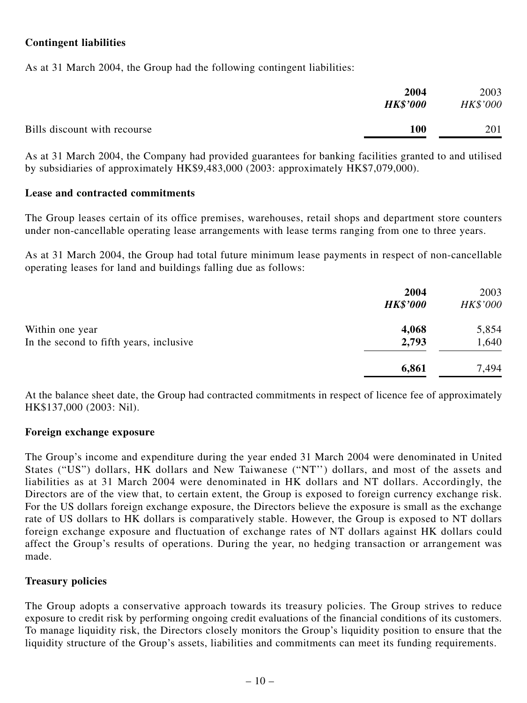## **Contingent liabilities**

As at 31 March 2004, the Group had the following contingent liabilities:

| 2004                                | 2003     |
|-------------------------------------|----------|
| <b>HK\$'000</b>                     | HK\$'000 |
| Bills discount with recourse<br>100 | 201      |

As at 31 March 2004, the Company had provided guarantees for banking facilities granted to and utilised by subsidiaries of approximately HK\$9,483,000 (2003: approximately HK\$7,079,000).

#### **Lease and contracted commitments**

The Group leases certain of its office premises, warehouses, retail shops and department store counters under non-cancellable operating lease arrangements with lease terms ranging from one to three years.

As at 31 March 2004, the Group had total future minimum lease payments in respect of non-cancellable operating leases for land and buildings falling due as follows:

|                                         | 2004<br><b>HK\$'000</b> | 2003<br>HK\$'000 |
|-----------------------------------------|-------------------------|------------------|
| Within one year                         | 4,068                   | 5,854            |
| In the second to fifth years, inclusive | 2,793                   | 1,640            |
|                                         | 6,861                   | 7,494            |

At the balance sheet date, the Group had contracted commitments in respect of licence fee of approximately HK\$137,000 (2003: Nil).

#### **Foreign exchange exposure**

The Group's income and expenditure during the year ended 31 March 2004 were denominated in United States ("US") dollars, HK dollars and New Taiwanese ("NT") dollars, and most of the assets and liabilities as at 31 March 2004 were denominated in HK dollars and NT dollars. Accordingly, the Directors are of the view that, to certain extent, the Group is exposed to foreign currency exchange risk. For the US dollars foreign exchange exposure, the Directors believe the exposure is small as the exchange rate of US dollars to HK dollars is comparatively stable. However, the Group is exposed to NT dollars foreign exchange exposure and fluctuation of exchange rates of NT dollars against HK dollars could affect the Group's results of operations. During the year, no hedging transaction or arrangement was made.

#### **Treasury policies**

The Group adopts a conservative approach towards its treasury policies. The Group strives to reduce exposure to credit risk by performing ongoing credit evaluations of the financial conditions of its customers. To manage liquidity risk, the Directors closely monitors the Group's liquidity position to ensure that the liquidity structure of the Group's assets, liabilities and commitments can meet its funding requirements.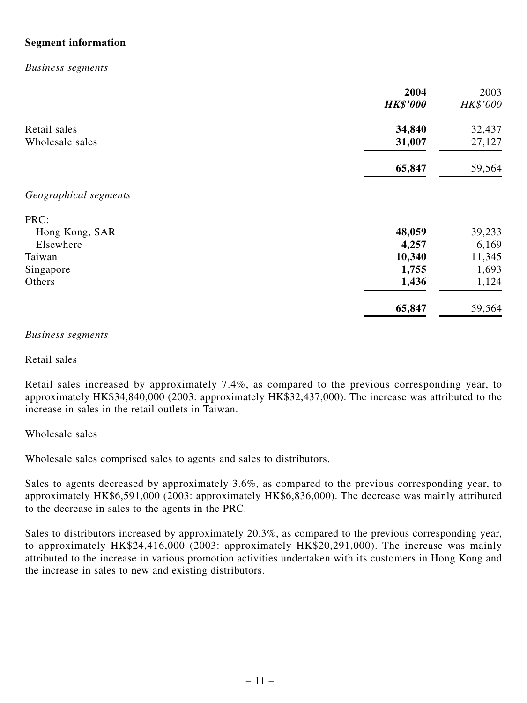## **Segment information**

#### *Business segments*

|                       | 2004<br><b>HK\$'000</b> | 2003<br>HK\$'000 |
|-----------------------|-------------------------|------------------|
| Retail sales          | 34,840                  | 32,437           |
| Wholesale sales       | 31,007                  | 27,127           |
|                       | 65,847                  | 59,564           |
| Geographical segments |                         |                  |
| PRC:                  |                         |                  |
| Hong Kong, SAR        | 48,059                  | 39,233           |
| Elsewhere             | 4,257                   | 6,169            |
| Taiwan                | 10,340                  | 11,345           |
| Singapore             | 1,755                   | 1,693            |
| Others                | 1,436                   | 1,124            |
|                       | 65,847                  | 59,564           |

#### *Business segments*

Retail sales

Retail sales increased by approximately 7.4%, as compared to the previous corresponding year, to approximately HK\$34,840,000 (2003: approximately HK\$32,437,000). The increase was attributed to the increase in sales in the retail outlets in Taiwan.

#### Wholesale sales

Wholesale sales comprised sales to agents and sales to distributors.

Sales to agents decreased by approximately 3.6%, as compared to the previous corresponding year, to approximately HK\$6,591,000 (2003: approximately HK\$6,836,000). The decrease was mainly attributed to the decrease in sales to the agents in the PRC.

Sales to distributors increased by approximately 20.3%, as compared to the previous corresponding year, to approximately HK\$24,416,000 (2003: approximately HK\$20,291,000). The increase was mainly attributed to the increase in various promotion activities undertaken with its customers in Hong Kong and the increase in sales to new and existing distributors.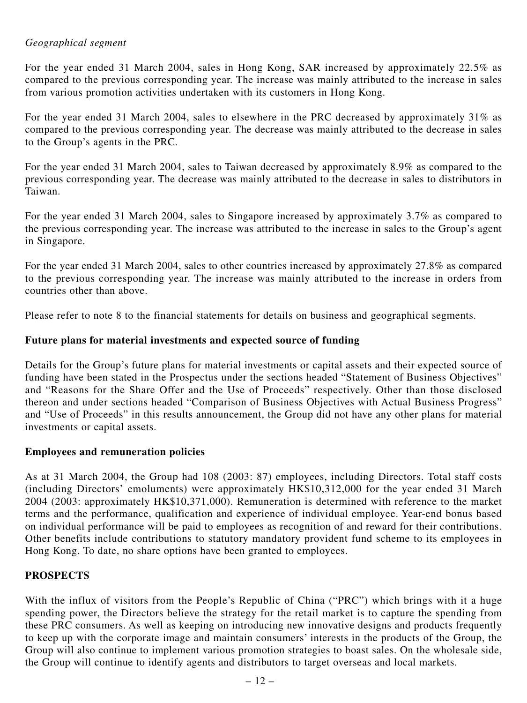## *Geographical segment*

For the year ended 31 March 2004, sales in Hong Kong, SAR increased by approximately 22.5% as compared to the previous corresponding year. The increase was mainly attributed to the increase in sales from various promotion activities undertaken with its customers in Hong Kong.

For the year ended 31 March 2004, sales to elsewhere in the PRC decreased by approximately 31% as compared to the previous corresponding year. The decrease was mainly attributed to the decrease in sales to the Group's agents in the PRC.

For the year ended 31 March 2004, sales to Taiwan decreased by approximately 8.9% as compared to the previous corresponding year. The decrease was mainly attributed to the decrease in sales to distributors in Taiwan.

For the year ended 31 March 2004, sales to Singapore increased by approximately 3.7% as compared to the previous corresponding year. The increase was attributed to the increase in sales to the Group's agent in Singapore.

For the year ended 31 March 2004, sales to other countries increased by approximately 27.8% as compared to the previous corresponding year. The increase was mainly attributed to the increase in orders from countries other than above.

Please refer to note 8 to the financial statements for details on business and geographical segments.

## **Future plans for material investments and expected source of funding**

Details for the Group's future plans for material investments or capital assets and their expected source of funding have been stated in the Prospectus under the sections headed "Statement of Business Objectives" and "Reasons for the Share Offer and the Use of Proceeds" respectively. Other than those disclosed thereon and under sections headed "Comparison of Business Objectives with Actual Business Progress" and "Use of Proceeds" in this results announcement, the Group did not have any other plans for material investments or capital assets.

## **Employees and remuneration policies**

As at 31 March 2004, the Group had 108 (2003: 87) employees, including Directors. Total staff costs (including Directors' emoluments) were approximately HK\$10,312,000 for the year ended 31 March 2004 (2003: approximately HK\$10,371,000). Remuneration is determined with reference to the market terms and the performance, qualification and experience of individual employee. Year-end bonus based on individual performance will be paid to employees as recognition of and reward for their contributions. Other benefits include contributions to statutory mandatory provident fund scheme to its employees in Hong Kong. To date, no share options have been granted to employees.

## **PROSPECTS**

With the influx of visitors from the People's Republic of China ("PRC") which brings with it a huge spending power, the Directors believe the strategy for the retail market is to capture the spending from these PRC consumers. As well as keeping on introducing new innovative designs and products frequently to keep up with the corporate image and maintain consumers' interests in the products of the Group, the Group will also continue to implement various promotion strategies to boast sales. On the wholesale side, the Group will continue to identify agents and distributors to target overseas and local markets.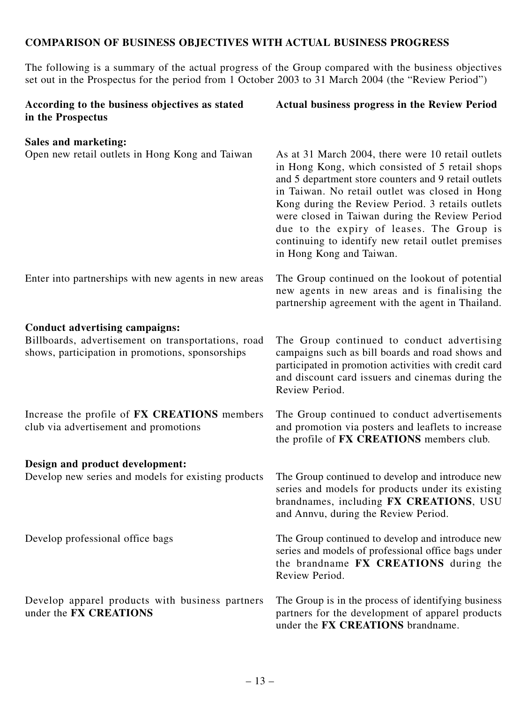## **COMPARISON OF BUSINESS OBJECTIVES WITH ACTUAL BUSINESS PROGRESS**

The following is a summary of the actual progress of the Group compared with the business objectives set out in the Prospectus for the period from 1 October 2003 to 31 March 2004 (the "Review Period")

| According to the business objectives as stated<br>in the Prospectus                                    | Actual business progress in the Review Period                                                                                                                                                                                                                                                                                                                                                                                                      |
|--------------------------------------------------------------------------------------------------------|----------------------------------------------------------------------------------------------------------------------------------------------------------------------------------------------------------------------------------------------------------------------------------------------------------------------------------------------------------------------------------------------------------------------------------------------------|
| <b>Sales and marketing:</b>                                                                            |                                                                                                                                                                                                                                                                                                                                                                                                                                                    |
| Open new retail outlets in Hong Kong and Taiwan                                                        | As at 31 March 2004, there were 10 retail outlets<br>in Hong Kong, which consisted of 5 retail shops<br>and 5 department store counters and 9 retail outlets<br>in Taiwan. No retail outlet was closed in Hong<br>Kong during the Review Period. 3 retails outlets<br>were closed in Taiwan during the Review Period<br>due to the expiry of leases. The Group is<br>continuing to identify new retail outlet premises<br>in Hong Kong and Taiwan. |
| Enter into partnerships with new agents in new areas                                                   | The Group continued on the lookout of potential<br>new agents in new areas and is finalising the<br>partnership agreement with the agent in Thailand.                                                                                                                                                                                                                                                                                              |
| <b>Conduct advertising campaigns:</b>                                                                  |                                                                                                                                                                                                                                                                                                                                                                                                                                                    |
| Billboards, advertisement on transportations, road<br>shows, participation in promotions, sponsorships | The Group continued to conduct advertising<br>campaigns such as bill boards and road shows and<br>participated in promotion activities with credit card<br>and discount card issuers and cinemas during the<br>Review Period.                                                                                                                                                                                                                      |
| Increase the profile of FX CREATIONS members<br>club via advertisement and promotions                  | The Group continued to conduct advertisements<br>and promotion via posters and leaflets to increase<br>the profile of FX CREATIONS members club.                                                                                                                                                                                                                                                                                                   |
| Design and product development:                                                                        |                                                                                                                                                                                                                                                                                                                                                                                                                                                    |
| Develop new series and models for existing products                                                    | The Group continued to develop and introduce new<br>series and models for products under its existing<br>brandnames, including FX CREATIONS, USU<br>and Annvu, during the Review Period.                                                                                                                                                                                                                                                           |
| Develop professional office bags                                                                       | The Group continued to develop and introduce new<br>series and models of professional office bags under<br>the brandname FX CREATIONS during the<br>Review Period.                                                                                                                                                                                                                                                                                 |
| Develop apparel products with business partners<br>under the FX CREATIONS                              | The Group is in the process of identifying business<br>partners for the development of apparel products<br>under the FX CREATIONS brandname.                                                                                                                                                                                                                                                                                                       |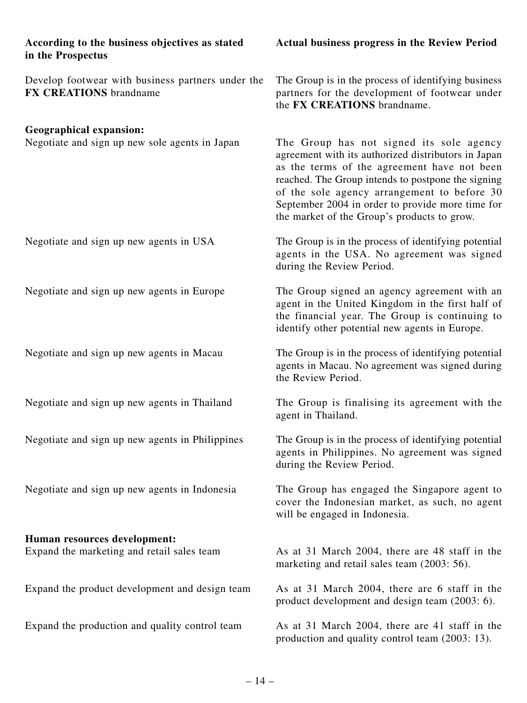| According to the business objectives as stated<br>in the Prospectus                | <b>Actual business progress in the Review Period</b>                                                                                                                                                                                                                                                                                                   |  |
|------------------------------------------------------------------------------------|--------------------------------------------------------------------------------------------------------------------------------------------------------------------------------------------------------------------------------------------------------------------------------------------------------------------------------------------------------|--|
| Develop footwear with business partners under the<br><b>FX CREATIONS</b> brandname | The Group is in the process of identifying business<br>partners for the development of footwear under<br>the FX CREATIONS brandname.                                                                                                                                                                                                                   |  |
| <b>Geographical expansion:</b><br>Negotiate and sign up new sole agents in Japan   | The Group has not signed its sole agency<br>agreement with its authorized distributors in Japan<br>as the terms of the agreement have not been<br>reached. The Group intends to postpone the signing<br>of the sole agency arrangement to before 30<br>September 2004 in order to provide more time for<br>the market of the Group's products to grow. |  |
| Negotiate and sign up new agents in USA                                            | The Group is in the process of identifying potential<br>agents in the USA. No agreement was signed<br>during the Review Period.                                                                                                                                                                                                                        |  |
| Negotiate and sign up new agents in Europe                                         | The Group signed an agency agreement with an<br>agent in the United Kingdom in the first half of<br>the financial year. The Group is continuing to<br>identify other potential new agents in Europe.                                                                                                                                                   |  |
| Negotiate and sign up new agents in Macau                                          | The Group is in the process of identifying potential<br>agents in Macau. No agreement was signed during<br>the Review Period.                                                                                                                                                                                                                          |  |
| Negotiate and sign up new agents in Thailand                                       | The Group is finalising its agreement with the<br>agent in Thailand.                                                                                                                                                                                                                                                                                   |  |
| Negotiate and sign up new agents in Philippines                                    | The Group is in the process of identifying potential<br>agents in Philippines. No agreement was signed<br>during the Review Period.                                                                                                                                                                                                                    |  |
| Negotiate and sign up new agents in Indonesia                                      | The Group has engaged the Singapore agent to<br>cover the Indonesian market, as such, no agent<br>will be engaged in Indonesia.                                                                                                                                                                                                                        |  |
| Human resources development:                                                       |                                                                                                                                                                                                                                                                                                                                                        |  |
| Expand the marketing and retail sales team                                         | As at 31 March 2004, there are 48 staff in the<br>marketing and retail sales team (2003: 56).                                                                                                                                                                                                                                                          |  |
| Expand the product development and design team                                     | As at 31 March 2004, there are 6 staff in the<br>product development and design team (2003: 6).                                                                                                                                                                                                                                                        |  |
| Expand the production and quality control team                                     | As at 31 March 2004, there are 41 staff in the<br>production and quality control team (2003: 13).                                                                                                                                                                                                                                                      |  |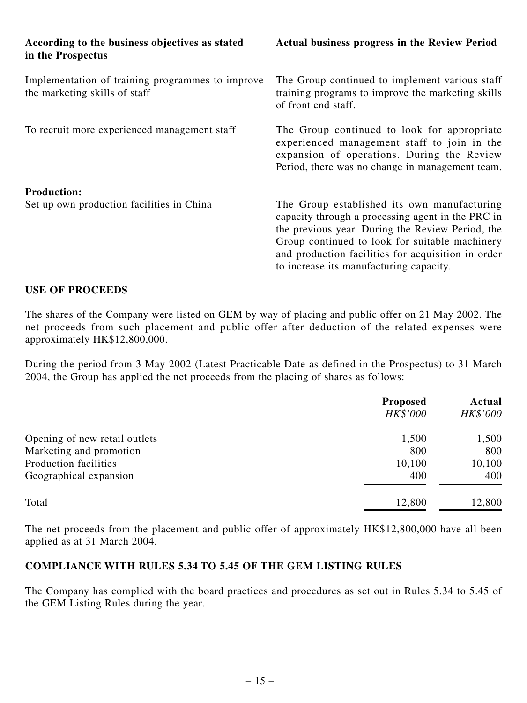| According to the business objectives as stated<br>in the Prospectus               | Actual business progress in the Review Period                                                                                                                                                                                                                                                           |
|-----------------------------------------------------------------------------------|---------------------------------------------------------------------------------------------------------------------------------------------------------------------------------------------------------------------------------------------------------------------------------------------------------|
| Implementation of training programmes to improve<br>the marketing skills of staff | The Group continued to implement various staff<br>training programs to improve the marketing skills<br>of front end staff.                                                                                                                                                                              |
| To recruit more experienced management staff                                      | The Group continued to look for appropriate<br>experienced management staff to join in the<br>expansion of operations. During the Review<br>Period, there was no change in management team.                                                                                                             |
| <b>Production:</b><br>Set up own production facilities in China                   | The Group established its own manufacturing<br>capacity through a processing agent in the PRC in<br>the previous year. During the Review Period, the<br>Group continued to look for suitable machinery<br>and production facilities for acquisition in order<br>to increase its manufacturing capacity. |

#### **USE OF PROCEEDS**

The shares of the Company were listed on GEM by way of placing and public offer on 21 May 2002. The net proceeds from such placement and public offer after deduction of the related expenses were approximately HK\$12,800,000.

During the period from 3 May 2002 (Latest Practicable Date as defined in the Prospectus) to 31 March 2004, the Group has applied the net proceeds from the placing of shares as follows:

|                               | <b>Proposed</b><br>HK\$'000 | Actual<br><b>HK\$'000</b> |
|-------------------------------|-----------------------------|---------------------------|
| Opening of new retail outlets | 1,500                       | 1,500                     |
| Marketing and promotion       | 800                         | 800                       |
| Production facilities         | 10,100                      | 10,100                    |
| Geographical expansion        | 400                         | 400                       |
| Total                         | 12,800                      | 12,800                    |

The net proceeds from the placement and public offer of approximately HK\$12,800,000 have all been applied as at 31 March 2004.

## **COMPLIANCE WITH RULES 5.34 TO 5.45 OF THE GEM LISTING RULES**

The Company has complied with the board practices and procedures as set out in Rules 5.34 to 5.45 of the GEM Listing Rules during the year.